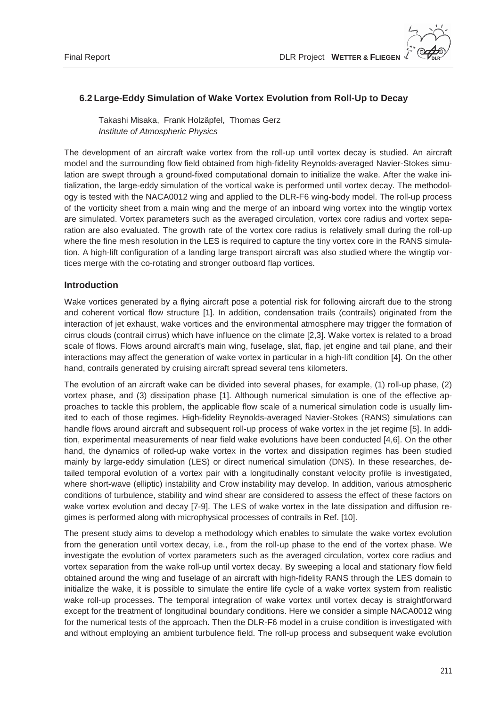# **6.2 Large-Eddy Simulation of Wake Vortex Evolution from Roll-Up to Decay**

 Takashi Misaka, Frank Holzäpfel, Thomas Gerz  *Institute of Atmospheric Physics*

The development of an aircraft wake vortex from the roll-up until vortex decay is studied. An aircraft model and the surrounding flow field obtained from high-fidelity Reynolds-averaged Navier-Stokes simulation are swept through a ground-fixed computational domain to initialize the wake. After the wake initialization, the large-eddy simulation of the vortical wake is performed until vortex decay. The methodology is tested with the NACA0012 wing and applied to the DLR-F6 wing-body model. The roll-up process of the vorticity sheet from a main wing and the merge of an inboard wing vortex into the wingtip vortex are simulated. Vortex parameters such as the averaged circulation, vortex core radius and vortex separation are also evaluated. The growth rate of the vortex core radius is relatively small during the roll-up where the fine mesh resolution in the LES is required to capture the tiny vortex core in the RANS simulation. A high-lift configuration of a landing large transport aircraft was also studied where the wingtip vortices merge with the co-rotating and stronger outboard flap vortices.

# **Introduction**

Wake vortices generated by a flying aircraft pose a potential risk for following aircraft due to the strong and coherent vortical flow structure [1]. In addition, condensation trails (contrails) originated from the interaction of jet exhaust, wake vortices and the environmental atmosphere may trigger the formation of cirrus clouds (contrail cirrus) which have influence on the climate [2,3]. Wake vortex is related to a broad scale of flows. Flows around aircraft's main wing, fuselage, slat, flap, jet engine and tail plane, and their interactions may affect the generation of wake vortex in particular in a high-lift condition [4]. On the other hand, contrails generated by cruising aircraft spread several tens kilometers.

The evolution of an aircraft wake can be divided into several phases, for example, (1) roll-up phase, (2) vortex phase, and (3) dissipation phase [1]. Although numerical simulation is one of the effective approaches to tackle this problem, the applicable flow scale of a numerical simulation code is usually limited to each of those regimes. High-fidelity Reynolds-averaged Navier-Stokes (RANS) simulations can handle flows around aircraft and subsequent roll-up process of wake vortex in the jet regime [5]. In addition, experimental measurements of near field wake evolutions have been conducted [4,6]. On the other hand, the dynamics of rolled-up wake vortex in the vortex and dissipation regimes has been studied mainly by large-eddy simulation (LES) or direct numerical simulation (DNS). In these researches, detailed temporal evolution of a vortex pair with a longitudinally constant velocity profile is investigated, where short-wave (elliptic) instability and Crow instability may develop. In addition, various atmospheric conditions of turbulence, stability and wind shear are considered to assess the effect of these factors on wake vortex evolution and decay [7-9]. The LES of wake vortex in the late dissipation and diffusion regimes is performed along with microphysical processes of contrails in Ref. [10].

The present study aims to develop a methodology which enables to simulate the wake vortex evolution from the generation until vortex decay, i.e., from the roll-up phase to the end of the vortex phase. We investigate the evolution of vortex parameters such as the averaged circulation, vortex core radius and vortex separation from the wake roll-up until vortex decay. By sweeping a local and stationary flow field obtained around the wing and fuselage of an aircraft with high-fidelity RANS through the LES domain to initialize the wake, it is possible to simulate the entire life cycle of a wake vortex system from realistic wake roll-up processes. The temporal integration of wake vortex until vortex decay is straightforward except for the treatment of longitudinal boundary conditions. Here we consider a simple NACA0012 wing for the numerical tests of the approach. Then the DLR-F6 model in a cruise condition is investigated with and without employing an ambient turbulence field. The roll-up process and subsequent wake evolution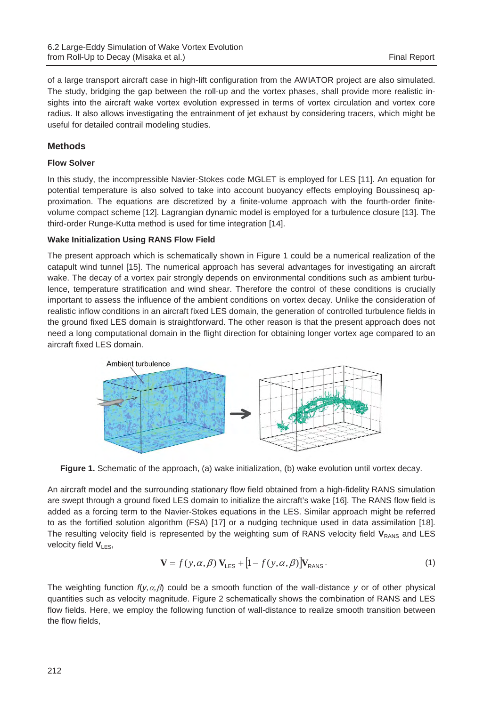of a large transport aircraft case in high-lift configuration from the AWIATOR project are also simulated. The study, bridging the gap between the roll-up and the vortex phases, shall provide more realistic insights into the aircraft wake vortex evolution expressed in terms of vortex circulation and vortex core radius. It also allows investigating the entrainment of jet exhaust by considering tracers, which might be useful for detailed contrail modeling studies.

# **Methods**

## **Flow Solver**

In this study, the incompressible Navier-Stokes code MGLET is employed for LES [11]. An equation for potential temperature is also solved to take into account buoyancy effects employing Boussinesq approximation. The equations are discretized by a finite-volume approach with the fourth-order finitevolume compact scheme [12]. Lagrangian dynamic model is employed for a turbulence closure [13]. The third-order Runge-Kutta method is used for time integration [14].

# **Wake Initialization Using RANS Flow Field**

The present approach which is schematically shown in Figure 1 could be a numerical realization of the catapult wind tunnel [15]. The numerical approach has several advantages for investigating an aircraft wake. The decay of a vortex pair strongly depends on environmental conditions such as ambient turbulence, temperature stratification and wind shear. Therefore the control of these conditions is crucially important to assess the influence of the ambient conditions on vortex decay. Unlike the consideration of realistic inflow conditions in an aircraft fixed LES domain, the generation of controlled turbulence fields in the ground fixed LES domain is straightforward. The other reason is that the present approach does not need a long computational domain in the flight direction for obtaining longer vortex age compared to an aircraft fixed LES domain.



Figure 1. Schematic of the approach, (a) wake initialization, (b) wake evolution until vortex decay.

An aircraft model and the surrounding stationary flow field obtained from a high-fidelity RANS simulation are swept through a ground fixed LES domain to initialize the aircraft's wake [16]. The RANS flow field is added as a forcing term to the Navier-Stokes equations in the LES. Similar approach might be referred to as the fortified solution algorithm (FSA) [17] or a nudging technique used in data assimilation [18]. The resulting velocity field is represented by the weighting sum of RANS velocity field V<sub>RANS</sub> and LES velocity field  $V_{LES}$ ,

$$
\mathbf{V} = f(y, \alpha, \beta) \mathbf{V}_{\text{LES}} + [1 - f(y, \alpha, \beta)] \mathbf{V}_{\text{RANS}}.
$$
 (1)

The weighting function  $f(y, \alpha, \beta)$  could be a smooth function of the wall-distance *y* or of other physical quantities such as velocity magnitude. Figure 2 schematically shows the combination of RANS and LES flow fields. Here, we employ the following function of wall-distance to realize smooth transition between the flow fields,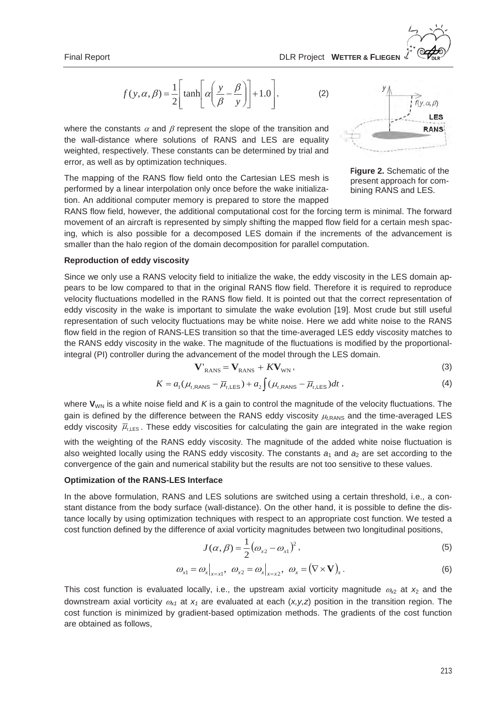$$
f(y, \alpha, \beta) = \frac{1}{2} \left[ \tanh \left[ \alpha \left( \frac{y}{\beta} - \frac{\beta}{y} \right) \right] + 1.0 \right],
$$
 (2)

where the constants  $\alpha$  and  $\beta$  represent the slope of the transition and the wall-distance where solutions of RANS and LES are equality weighted, respectively. These constants can be determined by trial and error, as well as by optimization techniques.

The mapping of the RANS flow field onto the Cartesian LES mesh is performed by a linear interpolation only once before the wake initialization. An additional computer memory is prepared to store the mapped



**Figure 2.** Schematic of the present approach for combining RANS and LES.

RANS flow field, however, the additional computational cost for the forcing term is minimal. The forward movement of an aircraft is represented by simply shifting the mapped flow field for a certain mesh spacing, which is also possible for a decomposed LES domain if the increments of the advancement is smaller than the halo region of the domain decomposition for parallel computation.

#### **Reproduction of eddy viscosity**

Since we only use a RANS velocity field to initialize the wake, the eddy viscosity in the LES domain appears to be low compared to that in the original RANS flow field. Therefore it is required to reproduce velocity fluctuations modelled in the RANS flow field. It is pointed out that the correct representation of eddy viscosity in the wake is important to simulate the wake evolution [19]. Most crude but still useful representation of such velocity fluctuations may be white noise. Here we add white noise to the RANS flow field in the region of RANS-LES transition so that the time-averaged LES eddy viscosity matches to the RANS eddy viscosity in the wake. The magnitude of the fluctuations is modified by the proportionalintegral (PI) controller during the advancement of the model through the LES domain.

$$
\mathbf{V'}_{RANS} = \mathbf{V}_{RANS} + K\mathbf{V}_{WN},\tag{3}
$$

$$
K = a_1(\mu_{t, RANS} - \overline{\mu}_{t, LES}) + a_2 \int (\mu_{t, RANS} - \overline{\mu}_{t, LES}) dt ,
$$
\n(4)

where  $V_{WN}$  is a white noise field and  $K$  is a gain to control the magnitude of the velocity fluctuations. The gain is defined by the difference between the RANS eddy viscosity  $\mu_{\text{tRANS}}$  and the time-averaged LES eddy viscosity  $\bar{\mu}_{\text{hES}}$ . These eddy viscosities for calculating the gain are integrated in the wake region

with the weighting of the RANS eddy viscosity. The magnitude of the added white noise fluctuation is also weighted locally using the RANS eddy viscosity. The constants  $a_1$  and  $a_2$  are set according to the convergence of the gain and numerical stability but the results are not too sensitive to these values.

#### **Optimization of the RANS-LES Interface**

In the above formulation, RANS and LES solutions are switched using a certain threshold, i.e., a constant distance from the body surface (wall-distance). On the other hand, it is possible to define the distance locally by using optimization techniques with respect to an appropriate cost function. We tested a cost function defined by the difference of axial vorticity magnitudes between two longitudinal positions,

$$
J(\alpha, \beta) = \frac{1}{2} (\omega_{x2} - \omega_{x1})^2,
$$
 (5)

$$
\omega_{x1} = \omega_x \big|_{x=x1}, \quad \omega_{x2} = \omega_x \big|_{x=x2}, \quad \omega_x = (\nabla \times \mathbf{V})_x. \tag{6}
$$

This cost function is evaluated locally, i.e., the upstream axial vorticity magnitude  $\omega_{\chi_2}$  at  $x_2$  and the downstream axial vorticity  $\omega_{x1}$  at  $x_1$  are evaluated at each  $(x,y,z)$  position in the transition region. The cost function is minimized by gradient-based optimization methods. The gradients of the cost function are obtained as follows,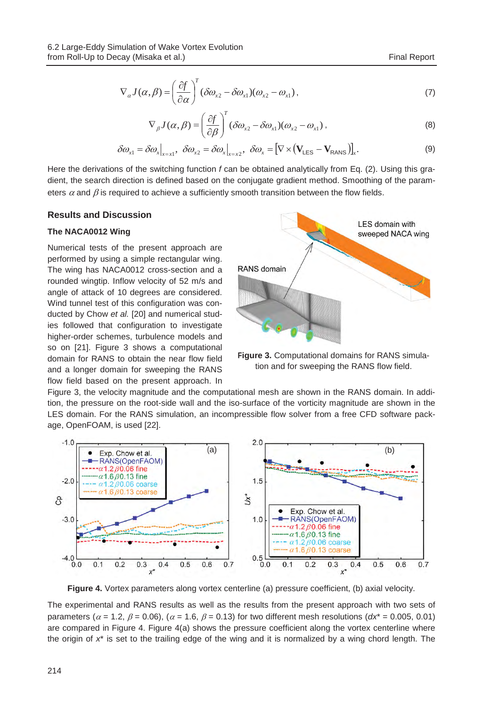$$
\nabla_{\alpha} J(\alpha, \beta) = \left(\frac{\partial f}{\partial \alpha}\right)^{T} (\delta \omega_{x2} - \delta \omega_{x1})(\omega_{x2} - \omega_{x1}), \qquad (7)
$$

$$
\nabla_{\beta} J(\alpha, \beta) = \left(\frac{\partial f}{\partial \beta}\right)^{T} (\delta \omega_{x2} - \delta \omega_{x1})(\omega_{x2} - \omega_{x1}), \qquad (8)
$$

$$
\delta \omega_{x1} = \delta \omega_x \big|_{x=x1}, \ \delta \omega_{x2} = \delta \omega_x \big|_{x=x2}, \ \delta \omega_x = \big[ \nabla \times (\mathbf{V}_{\text{LES}} - \mathbf{V}_{\text{RANS}}) \big]_x. \tag{9}
$$

Here the derivations of the switching function *f* can be obtained analytically from Eq. (2). Using this gradient, the search direction is defined based on the conjugate gradient method. Smoothing of the parameters  $\alpha$  and  $\beta$  is required to achieve a sufficiently smooth transition between the flow fields.

#### **Results and Discussion**

#### **The NACA0012 Wing**

Numerical tests of the present approach are performed by using a simple rectangular wing. The wing has NACA0012 cross-section and a rounded wingtip. Inflow velocity of 52 m/s and angle of attack of 10 degrees are considered. Wind tunnel test of this configuration was conducted by Chow *et al.* [20] and numerical studies followed that configuration to investigate higher-order schemes, turbulence models and so on [21]. Figure 3 shows a computational domain for RANS to obtain the near flow field and a longer domain for sweeping the RANS flow field based on the present approach. In



**Figure 3.** Computational domains for RANS simulation and for sweeping the RANS flow field.

Figure 3, the velocity magnitude and the computational mesh are shown in the RANS domain. In addition, the pressure on the root-side wall and the iso-surface of the vorticity magnitude are shown in the LES domain. For the RANS simulation, an incompressible flow solver from a free CFD software package, OpenFOAM, is used [22].



**Figure 4.** Vortex parameters along vortex centerline (a) pressure coefficient, (b) axial velocity.

The experimental and RANS results as well as the results from the present approach with two sets of parameters ( $\alpha$  = 1.2,  $\beta$  = 0.06), ( $\alpha$  = 1.6,  $\beta$  = 0.13) for two different mesh resolutions ( $dx^*$  = 0.005, 0.01) are compared in Figure 4. Figure 4(a) shows the pressure coefficient along the vortex centerline where the origin of *x*\* is set to the trailing edge of the wing and it is normalized by a wing chord length. The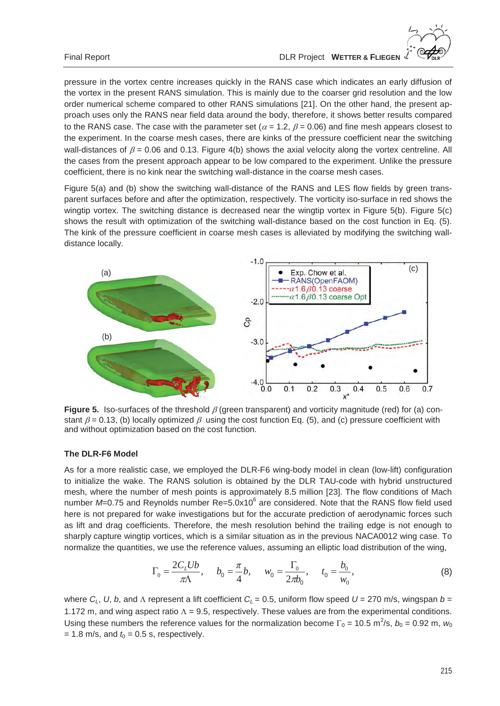pressure in the vortex centre increases quickly in the RANS case which indicates an early diffusion of the vortex in the present RANS simulation. This is mainly due to the coarser grid resolution and the low order numerical scheme compared to other RANS simulations [21]. On the other hand, the present approach uses only the RANS near field data around the body, therefore, it shows better results compared to the RANS case. The case with the parameter set ( $\alpha$  = 1.2,  $\beta$  = 0.06) and fine mesh appears closest to the experiment. In the coarse mesh cases, there are kinks of the pressure coefficient near the switching wall-distances of  $\beta$  = 0.06 and 0.13. Figure 4(b) shows the axial velocity along the vortex centreline. All the cases from the present approach appear to be low compared to the experiment. Unlike the pressure coefficient, there is no kink near the switching wall-distance in the coarse mesh cases.

Figure 5(a) and (b) show the switching wall-distance of the RANS and LES flow fields by green transparent surfaces before and after the optimization, respectively. The vorticity iso-surface in red shows the wingtip vortex. The switching distance is decreased near the wingtip vortex in Figure 5(b). Figure 5(c) shows the result with optimization of the switching wall-distance based on the cost function in Eq. (5). The kink of the pressure coefficient in coarse mesh cases is alleviated by modifying the switching walldistance locally.



**Figure 5.** Iso-surfaces of the threshold  $\beta$  (green transparent) and vorticity magnitude (red) for (a) constant  $\beta$  = 0.13, (b) locally optimized  $\beta$  using the cost function Eq. (5), and (c) pressure coefficient with and without optimization based on the cost function.

## **The DLR-F6 Model**

As for a more realistic case, we employed the DLR-F6 wing-body model in clean (low-lift) configuration to initialize the wake. The RANS solution is obtained by the DLR TAU-code with hybrid unstructured mesh, where the number of mesh points is approximately 8.5 million [23]. The flow conditions of Mach number M=0.75 and Reynolds number Re=5.0x10<sup>6</sup> are considered. Note that the RANS flow field used here is not prepared for wake investigations but for the accurate prediction of aerodynamic forces such as lift and drag coefficients. Therefore, the mesh resolution behind the trailing edge is not enough to sharply capture wingtip vortices, which is a similar situation as in the previous NACA0012 wing case. To normalize the quantities, we use the reference values, assuming an elliptic load distribution of the wing,

$$
\Gamma_0 = \frac{2C_L Ub}{\pi \Lambda}, \qquad b_0 = \frac{\pi}{4}b, \qquad w_0 = \frac{\Gamma_0}{2\pi b_0}, \qquad t_0 = \frac{b_0}{w_0}, \tag{8}
$$

where  $C_L$ ,  $U$ ,  $b$ , and  $\Lambda$  represent a lift coefficient  $C_L = 0.5$ , uniform flow speed  $U = 270$  m/s, wingspan  $b =$ 1.172 m, and wing aspect ratio  $\Lambda = 9.5$ , respectively. These values are from the experimental conditions. Using these numbers the reference values for the normalization become  $\Gamma_0 = 10.5$  m<sup>2</sup>/s,  $b_0 = 0.92$  m,  $w_0$  $= 1.8$  m/s, and  $t<sub>0</sub> = 0.5$  s, respectively.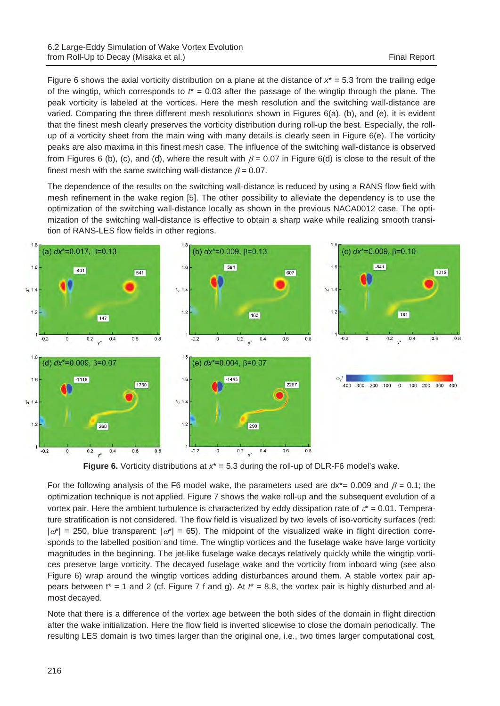Figure 6 shows the axial vorticity distribution on a plane at the distance of  $x^* = 5.3$  from the trailing edge of the wingtip, which corresponds to  $t^* = 0.03$  after the passage of the wingtip through the plane. The peak vorticity is labeled at the vortices. Here the mesh resolution and the switching wall-distance are varied. Comparing the three different mesh resolutions shown in Figures 6(a), (b), and (e), it is evident that the finest mesh clearly preserves the vorticity distribution during roll-up the best. Especially, the rollup of a vorticity sheet from the main wing with many details is clearly seen in Figure 6(e). The vorticity peaks are also maxima in this finest mesh case. The influence of the switching wall-distance is observed from Figures 6 (b), (c), and (d), where the result with  $\beta$  = 0.07 in Figure 6(d) is close to the result of the finest mesh with the same switching wall-distance  $\beta = 0.07$ .

The dependence of the results on the switching wall-distance is reduced by using a RANS flow field with mesh refinement in the wake region [5]. The other possibility to alleviate the dependency is to use the optimization of the switching wall-distance locally as shown in the previous NACA0012 case. The optimization of the switching wall-distance is effective to obtain a sharp wake while realizing smooth transition of RANS-LES flow fields in other regions.



**Figure 6.** Vorticity distributions at  $x^* = 5.3$  during the roll-up of DLR-F6 model's wake.

For the following analysis of the F6 model wake, the parameters used are  $dx^*$  = 0.009 and  $\beta$  = 0.1; the optimization technique is not applied. Figure 7 shows the wake roll-up and the subsequent evolution of a vortex pair. Here the ambient turbulence is characterized by eddy dissipation rate of  $\varepsilon^* = 0.01$ . Temperature stratification is not considered. The flow field is visualized by two levels of iso-vorticity surfaces (red:  $|\omega^*| = 250$ , blue transparent:  $|\omega^*| = 65$ ). The midpoint of the visualized wake in flight direction corresponds to the labelled position and time. The wingtip vortices and the fuselage wake have large vorticity magnitudes in the beginning. The jet-like fuselage wake decays relatively quickly while the wingtip vortices preserve large vorticity. The decayed fuselage wake and the vorticity from inboard wing (see also Figure 6) wrap around the wingtip vortices adding disturbances around them. A stable vortex pair appears between t<sup>\*</sup> = 1 and 2 (cf. Figure 7 f and g). At  $t^*$  = 8.8, the vortex pair is highly disturbed and almost decayed.

Note that there is a difference of the vortex age between the both sides of the domain in flight direction after the wake initialization. Here the flow field is inverted slicewise to close the domain periodically. The resulting LES domain is two times larger than the original one, i.e., two times larger computational cost,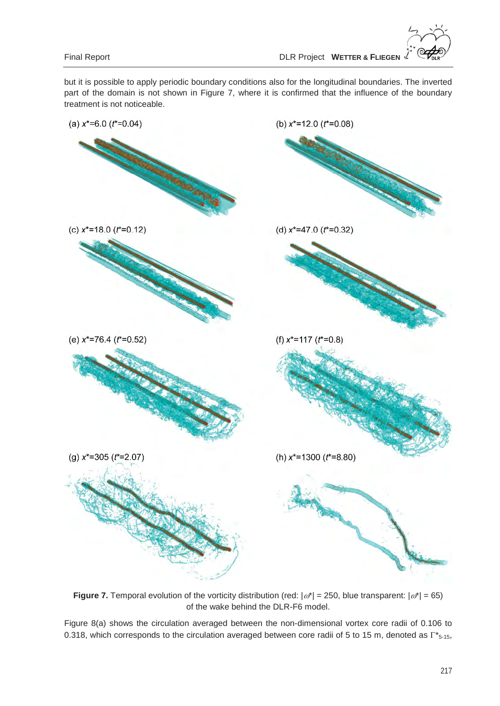but it is possible to apply periodic boundary conditions also for the longitudinal boundaries. The inverted part of the domain is not shown in Figure 7, where it is confirmed that the influence of the boundary treatment is not noticeable.



**Figure 7.** Temporal evolution of the vorticity distribution (red:  $|\omega^*| = 250$ , blue transparent:  $|\omega^*| = 65$ ) of the wake behind the DLR-F6 model.

Figure 8(a) shows the circulation averaged between the non-dimensional vortex core radii of 0.106 to 0.318, which corresponds to the circulation averaged between core radii of 5 to 15 m, denoted as  $\Gamma^*_{5-15}$ ,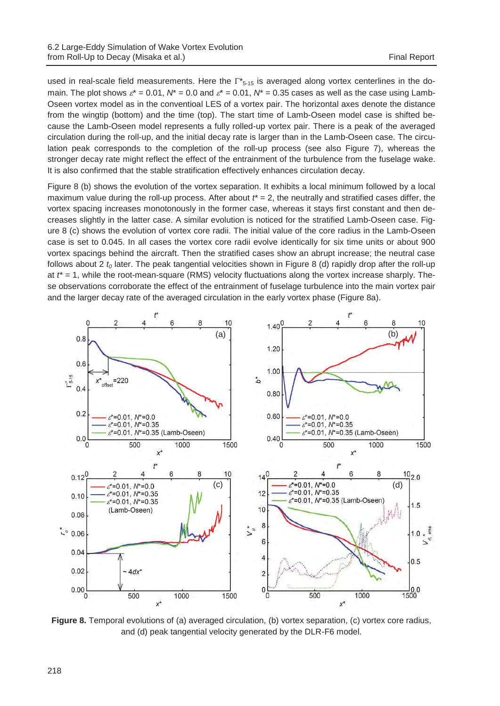used in real-scale field measurements. Here the  $\Gamma^*_{5-15}$  is averaged along vortex centerlines in the domain. The plot shows  $\varepsilon^* = 0.01$ ,  $N^* = 0.0$  and  $\varepsilon^* = 0.01$ ,  $N^* = 0.35$  cases as well as the case using Lamb-Oseen vortex model as in the conventioal LES of a vortex pair. The horizontal axes denote the distance from the wingtip (bottom) and the time (top). The start time of Lamb-Oseen model case is shifted because the Lamb-Oseen model represents a fully rolled-up vortex pair. There is a peak of the averaged circulation during the roll-up, and the initial decay rate is larger than in the Lamb-Oseen case. The circulation peak corresponds to the completion of the roll-up process (see also Figure 7), whereas the stronger decay rate might reflect the effect of the entrainment of the turbulence from the fuselage wake. It is also confirmed that the stable stratification effectively enhances circulation decay.

Figure 8 (b) shows the evolution of the vortex separation. It exhibits a local minimum followed by a local maximum value during the roll-up process. After about *t\** = 2, the neutrally and stratified cases differ, the vortex spacing increases monotonously in the former case, whereas it stays first constant and then decreases slightly in the latter case. A similar evolution is noticed for the stratified Lamb-Oseen case. Figure 8 (c) shows the evolution of vortex core radii. The initial value of the core radius in the Lamb-Oseen case is set to 0.045. In all cases the vortex core radii evolve identically for six time units or about 900 vortex spacings behind the aircraft. Then the stratified cases show an abrupt increase; the neutral case follows about 2  $t_0$  later. The peak tangential velocities shown in Figure 8 (d) rapidly drop after the roll-up at *t\** = 1, while the root-mean-square (RMS) velocity fluctuations along the vortex increase sharply. These observations corroborate the effect of the entrainment of fuselage turbulence into the main vortex pair and the larger decay rate of the averaged circulation in the early vortex phase (Figure 8a).



**Figure 8.** Temporal evolutions of (a) averaged circulation, (b) vortex separation, (c) vortex core radius, and (d) peak tangential velocity generated by the DLR-F6 model.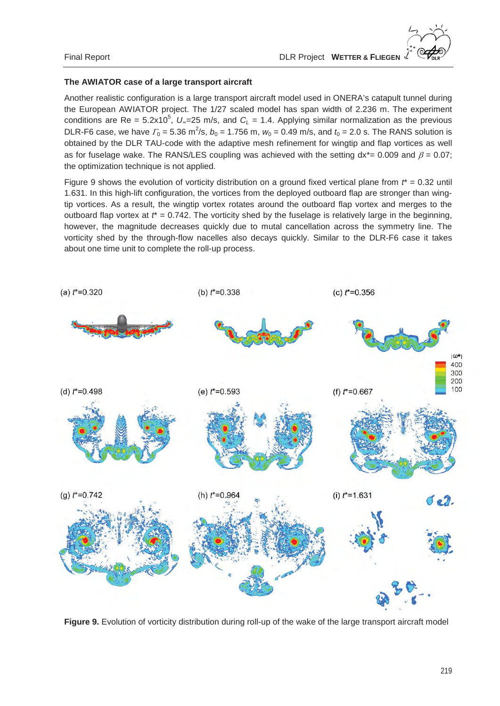## **The AWIATOR case of a large transport aircraft**

Another realistic configuration is a large transport aircraft model used in ONERA's catapult tunnel during the European AWIATOR project. The 1/27 scaled model has span width of 2.236 m. The experiment conditions are Re =  $5.2 \times 10^5$ ,  $U_{\infty}$ =25 m/s, and  $C_L$  = 1.4. Applying similar normalization as the previous DLR-F6 case, we have  $\Gamma_0 = 5.36 \text{ m}^2/\text{s}$ ,  $b_0 = 1.756 \text{ m}$ ,  $w_0 = 0.49 \text{ m/s}$ , and  $t_0 = 2.0 \text{ s}$ . The RANS solution is obtained by the DLR TAU-code with the adaptive mesh refinement for wingtip and flap vortices as well as for fuselage wake. The RANS/LES coupling was achieved with the setting  $dx^* = 0.009$  and  $\beta = 0.07$ ; the optimization technique is not applied.

Figure 9 shows the evolution of vorticity distribution on a ground fixed vertical plane from  $t^* = 0.32$  until 1.631. In this high-lift configuration, the vortices from the deployed outboard flap are stronger than wingtip vortices. As a result, the wingtip vortex rotates around the outboard flap vortex and merges to the outboard flap vortex at  $t^* = 0.742$ . The vorticity shed by the fuselage is relatively large in the beginning, however, the magnitude decreases quickly due to mutal cancellation across the symmetry line. The vorticity shed by the through-flow nacelles also decays quickly. Similar to the DLR-F6 case it takes about one time unit to complete the roll-up process.



**Figure 9.** Evolution of vorticity distribution during roll-up of the wake of the large transport aircraft model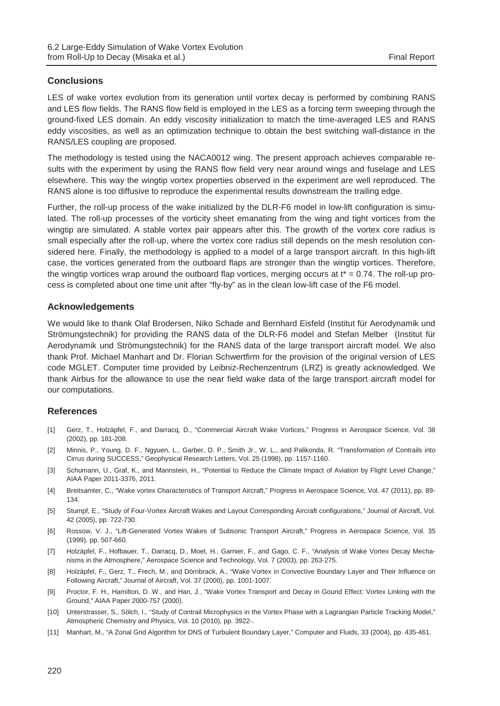# **Conclusions**

LES of wake vortex evolution from its generation until vortex decay is performed by combining RANS and LES flow fields. The RANS flow field is employed in the LES as a forcing term sweeping through the ground-fixed LES domain. An eddy viscosity initialization to match the time-averaged LES and RANS eddy viscosities, as well as an optimization technique to obtain the best switching wall-distance in the RANS/LES coupling are proposed.

The methodology is tested using the NACA0012 wing. The present approach achieves comparable results with the experiment by using the RANS flow field very near around wings and fuselage and LES elsewhere. This way the wingtip vortex properties observed in the experiment are well reproduced. The RANS alone is too diffusive to reproduce the experimental results downstream the trailing edge.

Further, the roll-up process of the wake initialized by the DLR-F6 model in low-lift configuration is simulated. The roll-up processes of the vorticity sheet emanating from the wing and tight vortices from the wingtip are simulated. A stable vortex pair appears after this. The growth of the vortex core radius is small especially after the roll-up, where the vortex core radius still depends on the mesh resolution considered here. Finally, the methodology is applied to a model of a large transport aircraft. In this high-lift case, the vortices generated from the outboard flaps are stronger than the wingtip vortices. Therefore, the wingtip vortices wrap around the outboard flap vortices, merging occurs at  $t^* = 0.74$ . The roll-up process is completed about one time unit after "fly-by" as in the clean low-lift case of the F6 model.

## **Acknowledgements**

We would like to thank Olaf Brodersen, Niko Schade and Bernhard Eisfeld (Institut für Aerodynamik und Strömungstechnik) for providing the RANS data of the DLR-F6 model and Stefan Melber (Institut für Aerodynamik und Strömungstechnik) for the RANS data of the large transport aircraft model. We also thank Prof. Michael Manhart and Dr. Florian Schwertfirm for the provision of the original version of LES code MGLET. Computer time provided by Leibniz-Rechenzentrum (LRZ) is greatly acknowledged. We thank Airbus for the allowance to use the near field wake data of the large transport aircraft model for our computations.

## **References**

- [1] Gerz, T., Holzäpfel, F., and Darracq, D., "Commercial Aircraft Wake Vortices," Progress in Aerospace Science, Vol. 38 (2002), pp. 181-208.
- [2] Minnis, P., Young, D. F., Ngyuen, L., Garber, D. P., Smith Jr., W. L., and Palikonda, R. "Transformation of Contrails into Cirrus during SUCCESS," Geophysical Research Letters, Vol. 25 (1998), pp. 1157-1160.
- [3] Schumann, U., Graf, K., and Mannstein, H., "Potential to Reduce the Climate Impact of Aviation by Flight Level Change," AIAA Paper 2011-3376, 2011.
- [4] Breitsamter, C., "Wake vortex Characteristics of Transport Aircraft," Progress in Aerospace Science, Vol. 47 (2011), pp. 89- 134.
- [5] Stumpf, E., "Study of Four-Vortex Aircraft Wakes and Layout Corresponding Aircraft configurations," Journal of Aircraft, Vol. 42 (2005), pp. 722-730.
- [6] Rossow, V. J., "Lift-Generated Vortex Wakes of Subsonic Transport Aircraft," Progress in Aerospace Science, Vol. 35 (1999), pp. 507-660.
- [7] Holzäpfel, F., Hofbauer, T., Darracq, D., Moet, H., Garnier, F., and Gago, C. F., "Analysis of Wake Vortex Decay Mechanisms in the Atmosphere," Aerospace Science and Technology, Vol. 7 (2003), pp. 263-275.
- [8] Holzäpfel, F., Gerz, T., Frech, M., and Dörnbrack, A., "Wake Vortex in Convective Boundary Layer and Their Influence on Following Aircraft," Journal of Aircraft, Vol. 37 (2000), pp. 1001-1007.
- [9] Proctor, F. H., Hamilton, D. W., and Han, J., "Wake Vortex Transport and Decay in Gound Effect: Vortex Linking with the Ground," AIAA Paper 2000-757 (2000).
- [10] Unterstrasser, S., Sölch, I., "Study of Contrail Microphysics in the Vortex Phase with a Lagrangian Particle Tracking Model," Atmospheric Chemistry and Physics, Vol. 10 (2010), pp. 3922-.
- [11] Manhart, M., "A Zonal Grid Algorithm for DNS of Turbulent Boundary Layer," Computer and Fluids, 33 (2004), pp. 435-461.